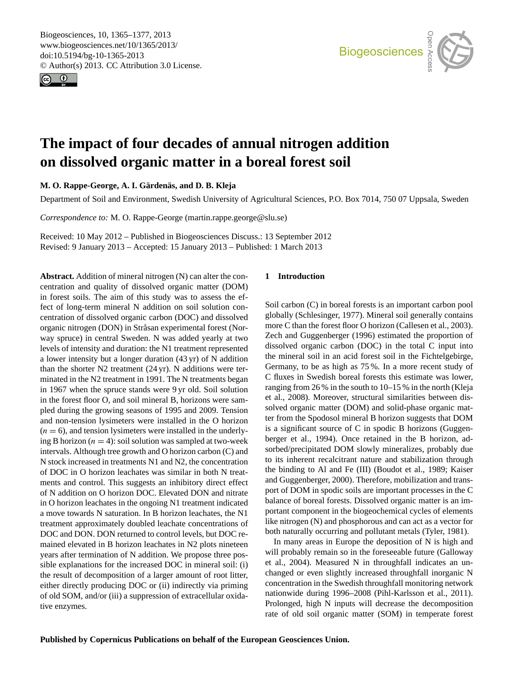<span id="page-0-0"></span>Biogeosciences, 10, 1365–1377, 2013 www.biogeosciences.net/10/1365/2013/ doi:10.5194/bg-10-1365-2013 © Author(s) 2013. CC Attribution 3.0 License.





# **The impact of four decades of annual nitrogen addition on dissolved organic matter in a boreal forest soil**

 $M. O. R$ appe-George, A. I. Gärdenäs, and D. B. Kleja

Department of Soil and Environment, Swedish University of Agricultural Sciences, P.O. Box 7014, 750 07 Uppsala, Sweden

*Correspondence to:* M. O. Rappe-George (martin.rappe.george@slu.se)

Received: 10 May 2012 – Published in Biogeosciences Discuss.: 13 September 2012 Revised: 9 January 2013 – Accepted: 15 January 2013 – Published: 1 March 2013

**Abstract.** Addition of mineral nitrogen (N) can alter the concentration and quality of dissolved organic matter (DOM) in forest soils. The aim of this study was to assess the effect of long-term mineral N addition on soil solution concentration of dissolved organic carbon (DOC) and dissolved organic nitrogen (DON) in Stråsan experimental forest (Norway spruce) in central Sweden. N was added yearly at two levels of intensity and duration: the N1 treatment represented a lower intensity but a longer duration (43 yr) of N addition than the shorter N2 treatment (24 yr). N additions were terminated in the N2 treatment in 1991. The N treatments began in 1967 when the spruce stands were 9 yr old. Soil solution in the forest floor O, and soil mineral B, horizons were sampled during the growing seasons of 1995 and 2009. Tension and non-tension lysimeters were installed in the O horizon  $(n = 6)$ , and tension lysimeters were installed in the underlying B horizon ( $n = 4$ ): soil solution was sampled at two-week intervals. Although tree growth and O horizon carbon (C) and N stock increased in treatments N1 and N2, the concentration of DOC in O horizon leachates was similar in both N treatments and control. This suggests an inhibitory direct effect of N addition on O horizon DOC. Elevated DON and nitrate in O horizon leachates in the ongoing N1 treatment indicated a move towards N saturation. In B horizon leachates, the N1 treatment approximately doubled leachate concentrations of DOC and DON. DON returned to control levels, but DOC remained elevated in B horizon leachates in N2 plots nineteen years after termination of N addition. We propose three possible explanations for the increased DOC in mineral soil: (i) the result of decomposition of a larger amount of root litter, either directly producing DOC or (ii) indirectly via priming of old SOM, and/or (iii) a suppression of extracellular oxidative enzymes.

#### **1 Introduction**

Soil carbon (C) in boreal forests is an important carbon pool nt<br>Ta dissolved organic carbon (DOC) in the total C input into the mineral soil in an acid forest soil in the Fichtelgebirge, C fluxes in Swedish boreal forests this estimate was lower, P<br>C<br>ic<br>ce<br>te ter from the Spodosol mineral B horizon suggests that DOM O<br>St<br>L<br>L and Guggenberger, 2000). Therefore, mobilization and transat<br>1<br>es globally (Schlesinger, 1977). Mineral soil generally contains more C than the forest floor O horizon (Callesen et al., 2003). Zech and Guggenberger (1996) estimated the proportion of Germany, to be as high as 75 %. In a more recent study of ranging from 26 % in the south to 10–15 % in the north (Kleja et al., 2008). Moreover, structural similarities between dissolved organic matter (DOM) and solid-phase organic matis a significant source of C in spodic B horizons (Guggenberger et al., 1994). Once retained in the B horizon, adsorbed/precipitated DOM slowly mineralizes, probably due to its inherent recalcitrant nature and stabilization through the binding to Al and Fe (III) (Boudot et al., 1989; Kaiser port of DOM in spodic soils are important processes in the C balance of boreal forests. Dissolved organic matter is an important component in the biogeochemical cycles of elements like nitrogen (N) and phosphorous and can act as a vector for both naturally occurring and pollutant metals (Tyler, 1981).

In many areas in Europe the deposition of N is high and as<br>Ty<br>ure will probably remain so in the foreseeable future (Galloway et al., 2004). Measured N in throughfall indicates an unchanged or even slightly increased throughfall inorganic N concentration in the Swedish throughfall monitoring network nationwide during 1996–2008 (Pihl-Karlsson et al., 2011). Prolonged, high N inputs will decrease the decomposition rate of old soil organic matter (SOM) in temperate forest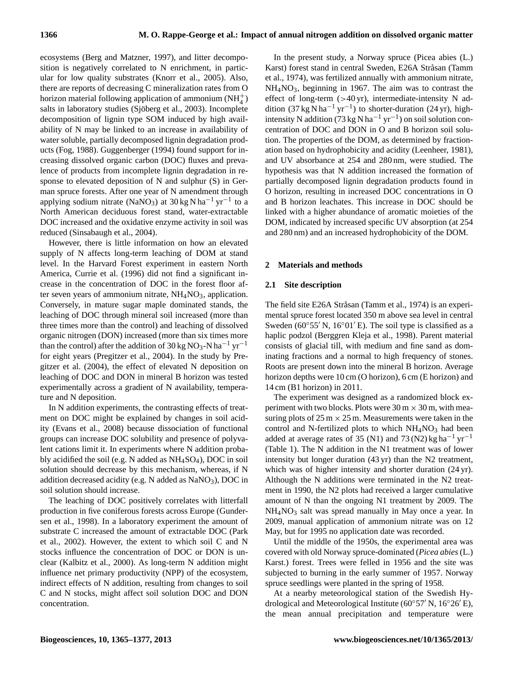ecosystems (Berg and Matzner, 1997), and litter decomposition is negatively correlated to N enrichment, in particular for low quality substrates (Knorr et al., 2005). Also, there are reports of decreasing C mineralization rates from O horizon material following application of ammonium  $(NH_4^+)$ salts in laboratory studies (Sjöberg et al., 2003). Incomplete decomposition of lignin type SOM induced by high availability of N may be linked to an increase in availability of water soluble, partially decomposed lignin degradation products (Fog, 1988). Guggenberger (1994) found support for increasing dissolved organic carbon (DOC) fluxes and prevalence of products from incomplete lignin degradation in response to elevated deposition of N and sulphur (S) in German spruce forests. After one year of N amendment through applying sodium nitrate (NaNO<sub>3</sub>) at  $30 \text{ kg N} \text{ ha}^{-1} \text{ yr}^{-1}$  to a North American deciduous forest stand, water-extractable DOC increased and the oxidative enzyme activity in soil was reduced (Sinsabaugh et al., 2004).

However, there is little information on how an elevated supply of N affects long-term leaching of DOM at stand level. In the Harvard Forest experiment in eastern North America, Currie et al. (1996) did not find a significant increase in the concentration of DOC in the forest floor after seven years of ammonium nitrate,  $NH<sub>4</sub>NO<sub>3</sub>$ , application. Conversely, in mature sugar maple dominated stands, the leaching of DOC through mineral soil increased (more than three times more than the control) and leaching of dissolved organic nitrogen (DON) increased (more than six times more than the control) after the addition of 30 kg NO<sub>3</sub>-N ha<sup>-1</sup> yr<sup>-1</sup> for eight years (Pregitzer et al., 2004). In the study by Pregitzer et al. (2004), the effect of elevated N deposition on leaching of DOC and DON in mineral B horizon was tested experimentally across a gradient of N availability, temperature and N deposition.

In N addition experiments, the contrasting effects of treatment on DOC might be explained by changes in soil acidity (Evans et al., 2008) because dissociation of functional groups can increase DOC solubility and presence of polyvalent cations limit it. In experiments where N addition probably acidified the soil (e.g. N added as NH4SO4), DOC in soil solution should decrease by this mechanism, whereas, if N addition decreased acidity (e.g. N added as  $NaNO<sub>3</sub>$ ), DOC in soil solution should increase.

The leaching of DOC positively correlates with litterfall production in five coniferous forests across Europe (Gundersen et al., 1998). In a laboratory experiment the amount of substrate C increased the amount of extractable DOC (Park et al., 2002). However, the extent to which soil C and N stocks influence the concentration of DOC or DON is unclear (Kalbitz et al., 2000). As long-term N addition might influence net primary productivity (NPP) of the ecosystem, indirect effects of N addition, resulting from changes to soil C and N stocks, might affect soil solution DOC and DON concentration.

In the present study, a Norway spruce (Picea abies (L.) Karst) forest stand in central Sweden, E26A Stråsan (Tamm et al., 1974), was fertilized annually with ammonium nitrate, NH4NO3, beginning in 1967. The aim was to contrast the effect of long-term  $(>40 \text{ yr})$ , intermediate-intensity N addition  $(37 \text{ kg N} \text{ ha}^{-1} \text{ yr}^{-1})$  to shorter-duration  $(24 \text{ yr})$ , highintensity N addition (73 kg N ha−<sup>1</sup> yr−<sup>1</sup> ) on soil solution concentration of DOC and DON in O and B horizon soil solution. The properties of the DOM, as determined by fractionation based on hydrophobicity and acidity (Leenheer, 1981), and UV absorbance at 254 and 280 nm, were studied. The hypothesis was that N addition increased the formation of partially decomposed lignin degradation products found in O horizon, resulting in increased DOC concentrations in O and B horizon leachates. This increase in DOC should be linked with a higher abundance of aromatic moieties of the DOM, indicated by increased specific UV absorption (at 254 and 280 nm) and an increased hydrophobicity of the DOM.

### **2 Materials and methods**

## **2.1 Site description**

The field site E26A Stråsan (Tamm et al., 1974) is an experimental spruce forest located 350 m above sea level in central Sweden ( $60°55'$  N,  $16°01'E$ ). The soil type is classified as a haplic podzol (Berggren Kleja et al., 1998). Parent material consists of glacial till, with medium and fine sand as dominating fractions and a normal to high frequency of stones. Roots are present down into the mineral B horizon. Average horizon depths were 10 cm (O horizon), 6 cm (E horizon) and 14 cm (B1 horizon) in 2011.

The experiment was designed as a randomized block experiment with two blocks. Plots were  $30 \text{ m} \times 30 \text{ m}$ , with measuring plots of  $25 \text{ m} \times 25 \text{ m}$ . Measurements were taken in the control and N-fertilized plots to which  $NH<sub>4</sub>NO<sub>3</sub>$  had been added at average rates of 35 (N1) and 73 (N2) kg ha<sup>-1</sup> yr<sup>-1</sup> (Table 1). The N addition in the N1 treatment was of lower intensity but longer duration (43 yr) than the N2 treatment, which was of higher intensity and shorter duration  $(24 \text{ yr})$ . Although the N additions were terminated in the N2 treatment in 1990, the N2 plots had received a larger cumulative amount of N than the ongoing N1 treatment by 2009. The  $NH<sub>4</sub>NO<sub>3</sub>$  salt was spread manually in May once a year. In 2009, manual application of ammonium nitrate was on 12 May, but for 1995 no application date was recorded.

Until the middle of the 1950s, the experimental area was covered with old Norway spruce-dominated (*Picea abies* (L.) Karst.) forest. Trees were felled in 1956 and the site was subjected to burning in the early summer of 1957. Norway spruce seedlings were planted in the spring of 1958.

At a nearby meteorological station of the Swedish Hydrological and Meteorological Institute ( $60°57'$  N,  $16°26'E$ ), the mean annual precipitation and temperature were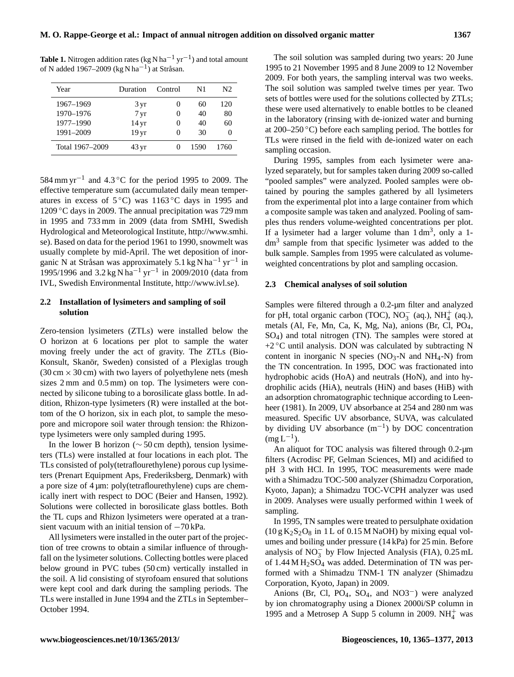**Table 1.** Nitrogen addition rates (kg N ha<sup>-1</sup> yr<sup>-1</sup>) and total amount of N added 1967–2009 (kg N ha<sup>-1</sup>) at Stråsan.

| Year            | Duration           | Control           | N1   | N2   |
|-----------------|--------------------|-------------------|------|------|
| 1967-1969       | 3 yr               | $\theta$          | 60   | 120  |
| 1970-1976       | 7 <sub>yr</sub>    | $\theta$          | 40   | 80   |
| 1977-1990       | $14 \,\mathrm{yr}$ | $\mathbf{\Omega}$ | 40   | 60   |
| 1991-2009       | 19 yr              | $\mathbf{\Omega}$ | 30   |      |
| Total 1967–2009 | $43 \,\mathrm{yr}$ | 0                 | 1590 | 1760 |

584 mm yr<sup>-1</sup> and 4.3 °C for the period 1995 to 2009. The effective temperature sum (accumulated daily mean temperatures in excess of  $5^{\circ}$ C) was 1163 °C days in 1995 and 1209 ◦C days in 2009. The annual precipitation was 729 mm in 1995 and 733 mm in 2009 (data from SMHI, Swedish Hydrological and Meteorological Institute, [http://www.smhi.](http://www.smhi.se) [se\)](http://www.smhi.se). Based on data for the period 1961 to 1990, snowmelt was usually complete by mid-April. The wet deposition of inorganic N at Stråsan was approximately 5.1 kg N ha<sup>-1</sup> yr<sup>-1</sup> in 1995/1996 and 3.2 kg N ha<sup>-1</sup> yr<sup>-1</sup> in 2009/2010 (data from IVL, Swedish Environmental Institute, [http://www.ivl.se\)](http://www.ivl.se).

#### **2.2 Installation of lysimeters and sampling of soil solution**

Zero-tension lysimeters (ZTLs) were installed below the O horizon at 6 locations per plot to sample the water moving freely under the act of gravity. The ZTLs (Bio-Konsult, Skanör, Sweden) consisted of a Plexiglas trough  $(30 \text{ cm} \times 30 \text{ cm})$  with two layers of polyethylene nets (mesh) sizes 2 mm and 0.5 mm) on top. The lysimeters were connected by silicone tubing to a borosilicate glass bottle. In addition, Rhizon-type lysimeters (R) were installed at the bottom of the O horizon, six in each plot, to sample the mesopore and micropore soil water through tension: the Rhizontype lysimeters were only sampled during 1995.

In the lower B horizon ( $\sim$  50 cm depth), tension lysimeters (TLs) were installed at four locations in each plot. The TLs consisted of poly(tetraflourethylene) porous cup lysimeters (Prenart Equipment Aps, Frederiksberg, Denmark) with a pore size of 4 µm: poly(tetraflourethylene) cups are chemically inert with respect to DOC (Beier and Hansen, 1992). Solutions were collected in borosilicate glass bottles. Both the TL cups and Rhizon lysimeters were operated at a transient vacuum with an initial tension of −70 kPa.

All lysimeters were installed in the outer part of the projection of tree crowns to obtain a similar influence of throughfall on the lysimeter solutions. Collecting bottles were placed below ground in PVC tubes (50 cm) vertically installed in the soil. A lid consisting of styrofoam ensured that solutions were kept cool and dark during the sampling periods. The TLs were installed in June 1994 and the ZTLs in September– October 1994.

The soil solution was sampled during two years: 20 June 1995 to 21 November 1995 and 8 June 2009 to 12 November 2009. For both years, the sampling interval was two weeks. The soil solution was sampled twelve times per year. Two sets of bottles were used for the solutions collected by ZTLs; these were used alternatively to enable bottles to be cleaned in the laboratory (rinsing with de-ionized water and burning at  $200-250$  °C) before each sampling period. The bottles for TLs were rinsed in the field with de-ionized water on each sampling occasion.

During 1995, samples from each lysimeter were analyzed separately, but for samples taken during 2009 so-called "pooled samples" were analyzed. Pooled samples were obtained by pouring the samples gathered by all lysimeters from the experimental plot into a large container from which a composite sample was taken and analyzed. Pooling of samples thus renders volume-weighted concentrations per plot. If a lysimeter had a larger volume than  $1 \text{ dm}^3$ , only a 1dm<sup>3</sup> sample from that specific lysimeter was added to the bulk sample. Samples from 1995 were calculated as volumeweighted concentrations by plot and sampling occasion.

## **2.3 Chemical analyses of soil solution**

Samples were filtered through a 0.2-um filter and analyzed for pH, total organic carbon (TOC),  $NO_3^-$  (aq.),  $NH_4^+$  (aq.), metals (Al, Fe, Mn, Ca, K, Mg, Na), anions (Br, Cl, PO4, SO4) and total nitrogen (TN). The samples were stored at  $+2$  °C until analysis. DON was calculated by subtracting N content in inorganic N species ( $NO<sub>3</sub>-N$  and  $NH<sub>4</sub>-N$ ) from the TN concentration. In 1995, DOC was fractionated into hydrophobic acids (HoA) and neutrals (HoN), and into hydrophilic acids (HiA), neutrals (HiN) and bases (HiB) with an adsorption chromatographic technique according to Leenheer (1981). In 2009, UV absorbance at 254 and 280 nm was measured. Specific UV absorbance, SUVA, was calculated by dividing UV absorbance (m−<sup>1</sup> ) by DOC concentration  $(mg L^{-1}).$ 

An aliquot for TOC analysis was filtered through 0.2-um filters (Acrodisc PF, Gelman Sciences, MI) and acidified to pH 3 with HCl. In 1995, TOC measurements were made with a Shimadzu TOC-500 analyzer (Shimadzu Corporation, Kyoto, Japan); a Shimadzu TOC-VCPH analyzer was used in 2009. Analyses were usually performed within 1 week of sampling.

In 1995, TN samples were treated to persulphate oxidation  $(10 g K<sub>2</sub> S<sub>2</sub> O<sub>8</sub>$  in 1 L of 0.15 M NaOH) by mixing equal volumes and boiling under pressure (14 kPa) for 25 min. Before analysis of NO<sub>3</sub> by Flow Injected Analysis (FIA), 0.25 mL of  $1.44 \text{ M H}_2\text{SO}_4$  was added. Determination of TN was performed with a Shimadzu TNM-1 TN analyzer (Shimadzu Corporation, Kyoto, Japan) in 2009.

Anions (Br, Cl, PO4, SO4, and NO3−) were analyzed by ion chromatography using a Dionex 2000i/SP column in 1995 and a Metrosep A Supp 5 column in 2009. NH $_4^+$  was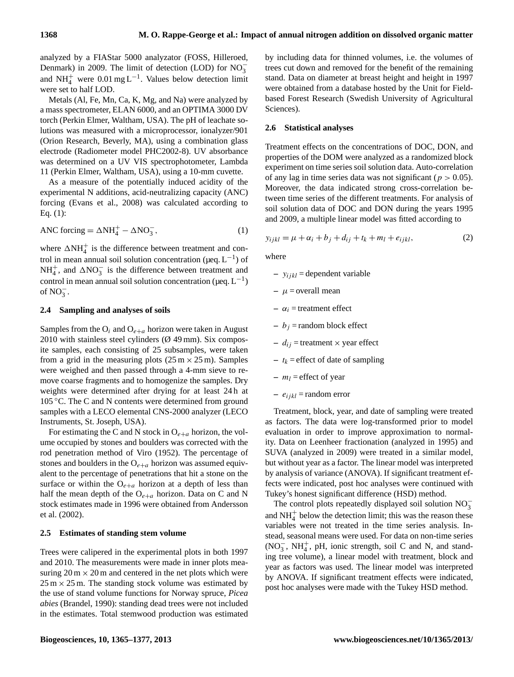analyzed by a FIAStar 5000 analyzator (FOSS, Hilleroed, Denmark) in 2009. The limit of detection (LOD) for  $NO_3^$ and NH<sup>+</sup> were 0.01 mg L<sup>-1</sup>. Values below detection limit were set to half LOD.

Metals (Al, Fe, Mn, Ca, K, Mg, and Na) were analyzed by a mass spectrometer, ELAN 6000, and an OPTIMA 3000 DV torch (Perkin Elmer, Waltham, USA). The pH of leachate solutions was measured with a microprocessor, ionalyzer/901 (Orion Research, Beverly, MA), using a combination glass electrode (Radiometer model PHC2002-8). UV absorbance was determined on a UV VIS spectrophotometer, Lambda 11 (Perkin Elmer, Waltham, USA), using a 10-mm cuvette.

As a measure of the potentially induced acidity of the experimental N additions, acid-neutralizing capacity (ANC) forcing (Evans et al., 2008) was calculated according to Eq. (1):

$$
ANC forcing = \Delta NH_4^+ - \Delta NO_3^-, \tag{1}
$$

where  $\Delta NH_4^+$  is the difference between treatment and control in mean annual soil solution concentration ( $\mu$ eq. L<sup>-1</sup>) of NH<sup>+</sup><sub>4</sub>, and  $\Delta NO_3^-$  is the difference between treatment and control in mean annual soil solution concentration ( $\mu$ eq.  $L^{-1}$ ) of  $NO_3^-$ .

#### **2.4 Sampling and analyses of soils**

Samples from the  $O_i$  and  $O_{e+a}$  horizon were taken in August 2010 with stainless steel cylinders  $(\emptyset$  49 mm). Six composite samples, each consisting of 25 subsamples, were taken from a grid in the measuring plots  $(25 \text{ m} \times 25 \text{ m})$ . Samples were weighed and then passed through a 4-mm sieve to remove coarse fragments and to homogenize the samples. Dry weights were determined after drying for at least 24 h at 105 ◦C. The C and N contents were determined from ground samples with a LECO elemental CNS-2000 analyzer (LECO Instruments, St. Joseph, USA).

For estimating the C and N stock in  $O_{e+a}$  horizon, the volume occupied by stones and boulders was corrected with the rod penetration method of Viro (1952). The percentage of stones and boulders in the  $O_{e+a}$  horizon was assumed equivalent to the percentage of penetrations that hit a stone on the surface or within the  $O_{e+a}$  horizon at a depth of less than half the mean depth of the  $O_{e+a}$  horizon. Data on C and N stock estimates made in 1996 were obtained from Andersson et al. (2002).

#### **2.5 Estimates of standing stem volume**

Trees were calipered in the experimental plots in both 1997 and 2010. The measurements were made in inner plots measuring  $20 \text{ m} \times 20 \text{ m}$  and centered in the net plots which were  $25 \text{ m} \times 25 \text{ m}$ . The standing stock volume was estimated by the use of stand volume functions for Norway spruce, *Picea abies* (Brandel, 1990): standing dead trees were not included in the estimates. Total stemwood production was estimated by including data for thinned volumes, i.e. the volumes of trees cut down and removed for the benefit of the remaining stand. Data on diameter at breast height and height in 1997 were obtained from a database hosted by the Unit for Fieldbased Forest Research (Swedish University of Agricultural Sciences).

#### **2.6 Statistical analyses**

Treatment effects on the concentrations of DOC, DON, and properties of the DOM were analyzed as a randomized block experiment on time series soil solution data. Auto-correlation of any lag in time series data was not significant ( $p > 0.05$ ). Moreover, the data indicated strong cross-correlation between time series of the different treatments. For analysis of soil solution data of DOC and DON during the years 1995 and 2009, a multiple linear model was fitted according to

$$
y_{ijkl} = \mu + \alpha_i + b_j + d_{ij} + t_k + m_l + e_{ijkl}, \qquad (2)
$$

where

- $y_{ijkl}$  = dependent variable
- $-\mu$  = overall mean
- $-\alpha_i$  = treatment effect
- $b_j$  = random block effect
- $-d_{ij}$  = treatment  $\times$  year effect
- $t_k$  = effect of date of sampling
- $m_l$  = effect of year
- $-e_{ijkl}$  = random error

Treatment, block, year, and date of sampling were treated as factors. The data were log-transformed prior to model evaluation in order to improve approximation to normality. Data on Leenheer fractionation (analyzed in 1995) and SUVA (analyzed in 2009) were treated in a similar model, but without year as a factor. The linear model was interpreted by analysis of variance (ANOVA). If significant treatment effects were indicated, post hoc analyses were continued with Tukey's honest significant difference (HSD) method.

The control plots repeatedly displayed soil solution  $NO_3^$ and  $NH<sub>4</sub><sup>+</sup>$  below the detection limit; this was the reason these variables were not treated in the time series analysis. Instead, seasonal means were used. For data on non-time series  $(NO<sub>3</sub><sup>-</sup>, NH<sub>4</sub><sup>+</sup>, pH, ionic strength, soil C and N, and stand$ ing tree volume), a linear model with treatment, block and year as factors was used. The linear model was interpreted by ANOVA. If significant treatment effects were indicated, post hoc analyses were made with the Tukey HSD method.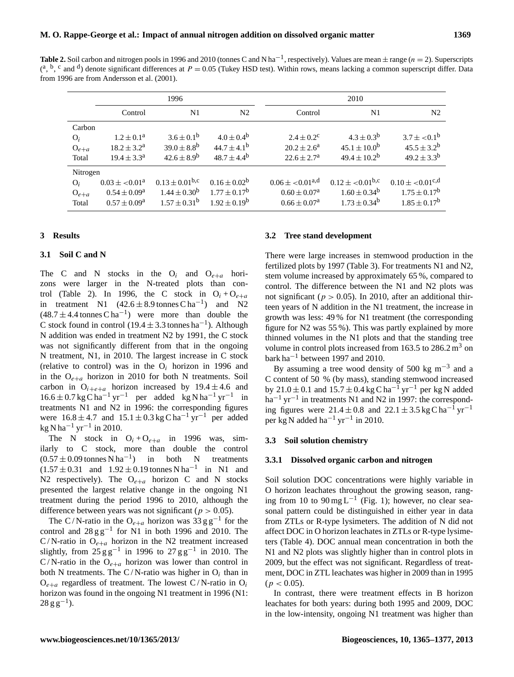**Table 2.** Soil carbon and nitrogen pools in 1996 and 2010 (tonnes C and N ha<sup>-1</sup>, respectively). Values are mean  $\pm$  range ( $n = 2$ ). Superscripts  $({}^{a},{}^{b},{}^{c}$  and  ${d}$ ) denote significant differences at  $P = 0.05$  (Tukey HSD test). Within rows, means lacking a common superscript differ. Data from 1996 are from Andersson et al. (2001).

|                                         |                                                                   | 1996                                                                |                                                                           |                                                                           | 2010                                                                  |                                                                                      |
|-----------------------------------------|-------------------------------------------------------------------|---------------------------------------------------------------------|---------------------------------------------------------------------------|---------------------------------------------------------------------------|-----------------------------------------------------------------------|--------------------------------------------------------------------------------------|
|                                         | Control                                                           | N1                                                                  | N <sub>2</sub>                                                            | Control                                                                   | N1                                                                    | N <sub>2</sub>                                                                       |
| Carbon<br>$O_i$<br>$O_{e+a}$<br>Total   | $1.2 \pm 0.1^a$<br>$18.2 \pm 3.2^a$<br>$19.4 \pm 3.3^{\rm a}$     | $3.6 \pm 0.1^b$<br>$39.0 \pm 8.8^{b}$<br>$42.6 \pm 8.9^b$           | $4.0 \pm 0.4^{\rm b}$<br>$44.7 \pm 4.1^{\rm b}$<br>$48.7 \pm 4.4^{\rm b}$ | $2.4 \pm 0.2^{\circ}$<br>$20.2 \pm 2.6^{\circ}$<br>$22.6 \pm 2.7^{\rm a}$ | $4.3 \pm 0.3^{b}$<br>$45.1 \pm 10.0^b$<br>$49.4 \pm 10.2^{\rm b}$     | $3.7 \pm 0.1^b$<br>$45.5 \pm 3.2^b$<br>$49.2 \pm 3.3^{b}$                            |
| Nitrogen<br>$O_i$<br>$O_{e+a}$<br>Total | $0.03 \pm 0.01^a$<br>$0.54 \pm 0.09^a$<br>$0.57 \pm 0.09^{\circ}$ | $0.13 \pm 0.01^{\rm b,c}$<br>$1.44 \pm 0.30^b$<br>$1.57 \pm 0.31^b$ | $0.16 \pm 0.02^b$<br>$1.77 \pm 0.17^{\rm b}$<br>$1.92 \pm 0.19^b$         | $0.06 \pm 0.01^{\text{a,d}}$<br>$0.60 \pm 0.07^a$<br>$0.66 \pm 0.07^a$    | $0.12 \pm 0.01^{b,c}$<br>$1.60 \pm 0.34^b$<br>$1.73 \pm 0.34^{\rm b}$ | $0.10 \pm 0.01$ <sup>c,d</sup><br>$1.75 \pm 0.17^{\rm b}$<br>$1.85 \pm 0.17^{\rm b}$ |

## **3 Results**

## **3.1 Soil C and N**

The C and N stocks in the  $O_i$  and  $O_{e+a}$  horizons were larger in the N-treated plots than control (Table 2). In 1996, the C stock in  $O_i + O_{e+a}$ in treatment N1  $(42.6 \pm 8.9 \text{ tonnes C ha}^{-1})$  and N2  $(48.7 \pm 4.4 \text{ tonnes } \text{C} \text{ ha}^{-1})$  were more than double the C stock found in control (19.4  $\pm$  3.3 tonnes ha<sup>-1</sup>). Although N addition was ended in treatment N2 by 1991, the C stock was not significantly different from that in the ongoing N treatment, N1, in 2010. The largest increase in C stock (relative to control) was in the  $O_i$  horizon in 1996 and in the  $O_{e+a}$  horizon in 2010 for both N treatments. Soil carbon in  $O_{i+e+a}$  horizon increased by 19.4  $\pm$  4.6 and 16.6 ± 0.7 kg C ha<sup>-1</sup> yr<sup>-1</sup> per added kg N ha<sup>-1</sup> yr<sup>-1</sup> in treatments N1 and N2 in 1996: the corresponding figures were  $16.8 \pm 4.7$  and  $15.1 \pm 0.3$  kg C ha<sup>-1</sup> yr<sup>-1</sup> per added  $kg N ha^{-1} yr^{-1}$  in 2010.

The N stock in  $O_i + O_{e+a}$  in 1996 was, similarly to C stock, more than double the control  $(0.57 \pm 0.09 \text{ tonnes N ha}^{-1})$  in both N treatments  $(1.57 \pm 0.31$  and  $1.92 \pm 0.19$  tonnes N ha<sup>-1</sup> in N1 and N2 respectively). The  $O_{e+a}$  horizon C and N stocks presented the largest relative change in the ongoing N1 treatment during the period 1996 to 2010, although the difference between years was not significant ( $p > 0.05$ ).

The C/N-ratio in the O<sub>e+a</sub> horizon was  $33 \text{ g g}^{-1}$  for the control and  $28 \text{ g g}^{-1}$  for N1 in both 1996 and 2010. The  $C/N$ -ratio in  $O_{e+a}$  horizon in the N2 treatment increased slightly, from  $25 \text{ g g}^{-1}$  in 1996 to  $27 \text{ g g}^{-1}$  in 2010. The C/N-ratio in the  $O_{e+a}$  horizon was lower than control in both N treatments. The C/N-ratio was higher in  $O_i$  than in  $O_{e+a}$  regardless of treatment. The lowest C/N-ratio in  $O_i$ horizon was found in the ongoing N1 treatment in 1996 (N1:  $28 \text{ g g}^{-1}$ ).

#### **3.2 Tree stand development**

There were large increases in stemwood production in the fertilized plots by 1997 (Table 3). For treatments N1 and N2, stem volume increased by approximately 65 %, compared to control. The difference between the N1 and N2 plots was not significant ( $p > 0.05$ ). In 2010, after an additional thirteen years of N addition in the N1 treatment, the increase in growth was less: 49 % for N1 treatment (the corresponding figure for N2 was 55 %). This was partly explained by more thinned volumes in the N1 plots and that the standing tree volume in control plots increased from 163.5 to  $286.2 \text{ m}^3$  on bark ha−<sup>1</sup> between 1997 and 2010.

By assuming a tree wood density of 500 kg m<sup>-3</sup> and a C content of 50 % (by mass), standing stemwood increased by 21.0 ± 0.1 and 15.7 ± 0.4 kg C ha<sup>-1</sup> yr<sup>-1</sup> per kg N added ha<sup>-1</sup> yr<sup>-1</sup> in treatments N1 and N2 in 1997: the corresponding figures were  $21.4 \pm 0.8$  and  $22.1 \pm 3.5$  kg C ha<sup>-1</sup> yr<sup>-1</sup> per kg N added ha<sup>-1</sup> yr<sup>-1</sup> in 2010.

#### **3.3 Soil solution chemistry**

#### **3.3.1 Dissolved organic carbon and nitrogen**

Soil solution DOC concentrations were highly variable in O horizon leachates throughout the growing season, ranging from 10 to  $90 \text{ mg L}^{-1}$  (Fig. 1); however, no clear seasonal pattern could be distinguished in either year in data from ZTLs or R-type lysimeters. The addition of N did not affect DOC in O horizon leachates in ZTLs or R-type lysimeters (Table 4). DOC annual mean concentration in both the N1 and N2 plots was slightly higher than in control plots in 2009, but the effect was not significant. Regardless of treatment, DOC in ZTL leachates was higher in 2009 than in 1995  $(p < 0.05)$ .

In contrast, there were treatment effects in B horizon leachates for both years: during both 1995 and 2009, DOC in the low-intensity, ongoing N1 treatment was higher than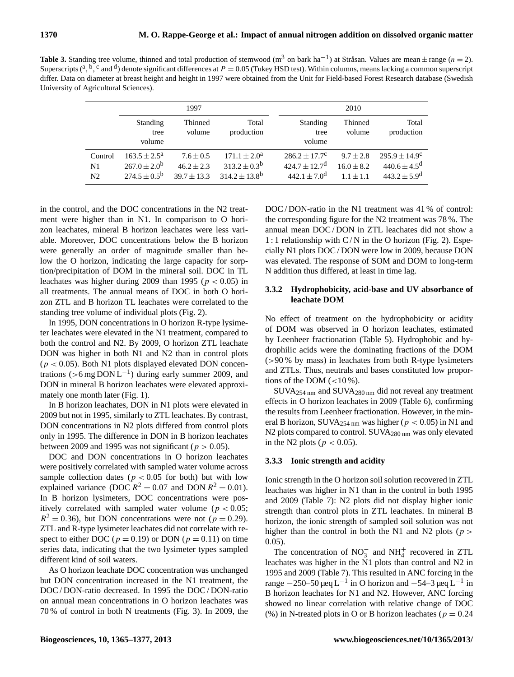**Table 3.** Standing tree volume, thinned and total production of stemwood (m<sup>3</sup> on bark ha<sup>-1</sup>) at Stråsan. Values are mean ± range (n = 2). Superscripts (<sup>a</sup>, <sup>b</sup>, <sup>c</sup> and <sup>d</sup>) denote significant differences at *P* = 0.05 (Tukey HSD test). Within columns, means lacking a common superscript differ. Data on diameter at breast height and height in 1997 were obtained from the Unit for Field-based Forest Research database (Swedish University of Agricultural Sciences).

|                                 |                                                                         | 1997                                             |                                                                  |                                                                                   | 2010                                         |                                                                        |
|---------------------------------|-------------------------------------------------------------------------|--------------------------------------------------|------------------------------------------------------------------|-----------------------------------------------------------------------------------|----------------------------------------------|------------------------------------------------------------------------|
|                                 | Standing<br>tree<br>volume                                              | Thinned<br>volume                                | Total<br>production                                              | Standing<br>tree<br>volume                                                        | Thinned<br>volume                            | Total<br>production                                                    |
| Control<br>N1<br>N <sub>2</sub> | $163.5 \pm 2.5^{\circ}$<br>$267.0 \pm 2.0^b$<br>$274.5 \pm 0.5^{\rm b}$ | $7.6 \pm 0.5$<br>$46.2 \pm 2.3$<br>$39.7 + 13.3$ | $171.1 + 2.0^a$<br>$313.2 \pm 0.3^{\rm b}$<br>$314.2 + 13.8^{b}$ | $286.2 \pm 17.7^c$<br>$424.7 \pm 12.7$ <sup>d</sup><br>$442.1 + 7.0$ <sup>d</sup> | $9.7 \pm 2.8$<br>$16.0 \pm 8.2$<br>$11 + 11$ | $295.9 \pm 14.9^{\circ}$<br>$440.6 \pm 4.5^{\rm d}$<br>$443.2 + 5.9^d$ |

in the control, and the DOC concentrations in the N2 treatment were higher than in N1. In comparison to O horizon leachates, mineral B horizon leachates were less variable. Moreover, DOC concentrations below the B horizon were generally an order of magnitude smaller than below the O horizon, indicating the large capacity for sorption/precipitation of DOM in the mineral soil. DOC in TL leachates was higher during 2009 than 1995 ( $p < 0.05$ ) in all treatments. The annual means of DOC in both O horizon ZTL and B horizon TL leachates were correlated to the standing tree volume of individual plots (Fig. 2).

In 1995, DON concentrations in O horizon R-type lysimeter leachates were elevated in the N1 treatment, compared to both the control and N2. By 2009, O horizon ZTL leachate DON was higher in both N1 and N2 than in control plots  $(p < 0.05)$ . Both N1 plots displayed elevated DON concentrations (>6 mg  $DOML^{-1}$ ) during early summer 2009, and DON in mineral B horizon leachates were elevated approximately one month later (Fig. 1).

In B horizon leachates, DON in N1 plots were elevated in 2009 but not in 1995, similarly to ZTL leachates. By contrast, DON concentrations in N2 plots differed from control plots only in 1995. The difference in DON in B horizon leachates between 2009 and 1995 was not significant ( $p > 0.05$ ).

DOC and DON concentrations in O horizon leachates were positively correlated with sampled water volume across sample collection dates ( $p < 0.05$  for both) but with low explained variance (DOC  $R^2 = 0.07$  and DON  $R^2 = 0.01$ ). In B horizon lysimeters, DOC concentrations were positively correlated with sampled water volume ( $p < 0.05$ ;  $R^2 = 0.36$ , but DON concentrations were not ( $p = 0.29$ ). ZTL and R-type lysimeter leachates did not correlate with respect to either DOC ( $p = 0.19$ ) or DON ( $p = 0.11$ ) on time series data, indicating that the two lysimeter types sampled different kind of soil waters.

As O horizon leachate DOC concentration was unchanged but DON concentration increased in the N1 treatment, the DOC / DON-ratio decreased. In 1995 the DOC / DON-ratio on annual mean concentrations in O horizon leachates was 70 % of control in both N treatments (Fig. 3). In 2009, the

DOC/DON-ratio in the N1 treatment was 41 % of control: the corresponding figure for the N2 treatment was 78 %. The annual mean DOC / DON in ZTL leachates did not show a 1 : 1 relationship with  $C/N$  in the O horizon (Fig. 2). Especially N1 plots DOC / DON were low in 2009, because DON was elevated. The response of SOM and DOM to long-term N addition thus differed, at least in time lag.

# **3.3.2 Hydrophobicity, acid-base and UV absorbance of leachate DOM**

No effect of treatment on the hydrophobicity or acidity of DOM was observed in O horizon leachates, estimated by Leenheer fractionation (Table 5). Hydrophobic and hydrophilic acids were the dominating fractions of the DOM  $(>90\%$  by mass) in leachates from both R-type lysimeters and ZTLs. Thus, neutrals and bases constituted low proportions of the DOM  $\left( <10\% \right)$ .

SUVA254 nm and SUVA280 nm did not reveal any treatment effects in O horizon leachates in 2009 (Table 6), confirming the results from Leenheer fractionation. However, in the mineral B horizon, SUVA<sub>254 nm</sub> was higher ( $p < 0.05$ ) in N1 and N2 plots compared to control. SUVA<sub>280 nm</sub> was only elevated in the N2 plots ( $p < 0.05$ ).

## **3.3.3 Ionic strength and acidity**

Ionic strength in the O horizon soil solution recovered in ZTL leachates was higher in N1 than in the control in both 1995 and 2009 (Table 7): N2 plots did not display higher ionic strength than control plots in ZTL leachates. In mineral B horizon, the ionic strength of sampled soil solution was not higher than the control in both the N1 and N2 plots ( $p >$ 0.05).

The concentration of  $NO_3^-$  and  $NH_4^+$  recovered in ZTL leachates was higher in the N1 plots than control and N2 in 1995 and 2009 (Table 7). This resulted in ANC forcing in the range  $-250-50 \mu$ eq L<sup>-1</sup> in O horizon and  $-54-3 \mu$ eq L<sup>-1</sup> in B horizon leachates for N1 and N2. However, ANC forcing showed no linear correlation with relative change of DOC (%) in N-treated plots in O or B horizon leachates ( $p = 0.24$ )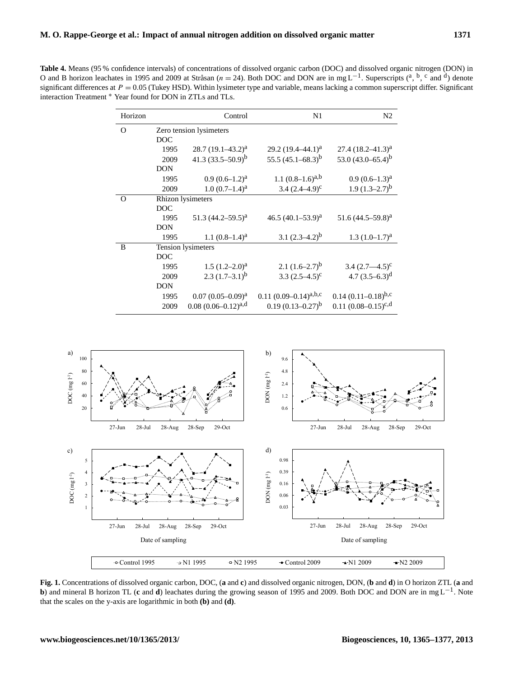**Table 4.** Means (95 % confidence intervals) of concentrations of dissolved organic carbon (DOC) and dissolved organic nitrogen (DON) in O and B horizon leachates in 1995 and 2009 at Stråsan ( $n = 24$ ). Both DOC and DON are in mg L<sup>-1</sup>. Superscripts (<sup>a</sup>, <sup>b</sup>, c and <sup>d</sup>) denote significant differences at  $P = 0.05$  (Tukey HSD). Within lysimeter type and variable, means lacking a common superscript differ. Significant interaction Treatment <sup>∗</sup> Year found for DON in ZTLs and TLs.

| Horizon  |                         | Control                   | N1                         | N <sub>2</sub>           |  |  |  |
|----------|-------------------------|---------------------------|----------------------------|--------------------------|--|--|--|
| $\Omega$ | Zero tension lysimeters |                           |                            |                          |  |  |  |
|          | <b>DOC</b>              |                           |                            |                          |  |  |  |
|          | 1995                    | $28.7 (19.1 - 43.2)^{a}$  | $29.2 (19.4 - 44.1)^a$     | $27.4 (18.2 - 41.3)^{a}$ |  |  |  |
|          | 2009                    | 41.3 $(33.5-50.9)^b$      | 55.5 $(45.1 - 68.3)^b$     | 53.0 $(43.0 - 65.4)^b$   |  |  |  |
|          | <b>DON</b>              |                           |                            |                          |  |  |  |
|          | 1995                    | $0.9(0.6-1.2)^{a}$        | 1.1 $(0.8-1.6)^{a,b}$      | $0.9(0.6-1.3)^{a}$       |  |  |  |
|          | 2009                    | $1.0 (0.7–1.4)^a$         | 3.4 $(2.4-4.9)^c$          | $1.9(1.3-2.7)^{b}$       |  |  |  |
| $\Omega$ | Rhizon lysimeters       |                           |                            |                          |  |  |  |
|          | <b>DOC</b>              |                           |                            |                          |  |  |  |
|          | 1995                    | 51.3 $(44.2 - 59.5)^a$    | 46.5 $(40.1 - 53.9)^a$     | 51.6 $(44.5-59.8)^{a}$   |  |  |  |
|          | <b>DON</b>              |                           |                            |                          |  |  |  |
|          | 1995                    | 1.1 $(0.8-1.4)^a$         | 3.1 $(2.3-4.2)^b$          | $1.3 (1.0 - 1.7)^a$      |  |  |  |
| B        | Tension lysimeters      |                           |                            |                          |  |  |  |
|          | <b>DOC</b>              |                           |                            |                          |  |  |  |
|          | 1995                    | $1.5 (1.2 - 2.0)^a$       | 2.1 $(1.6-2.7)^b$          | 3.4 $(2.7 - 4.5)^c$      |  |  |  |
|          | 2009                    | $2.3(1.7-3.1)^{b}$        | 3.3 $(2.5-4.5)^c$          | 4.7 $(3.5-6.3)^d$        |  |  |  |
|          | <b>DON</b>              |                           |                            |                          |  |  |  |
|          | 1995                    | $0.07(0.05-0.09)^{a}$     | 0.11 $(0.09-0.14)^{a,b,c}$ | 0.14 $(0.11-0.18)^{b,c}$ |  |  |  |
|          | 2009                    | $0.08(0.06 - 0.12)^{a,d}$ | $0.19(0.13 - 0.27)^{b}$    | 0.11 $(0.08-0.15)^{c,d}$ |  |  |  |



**Fig. 1.** Concentrations of dissolved organic carbon, DOC, (**a** and **c**) and dissolved organic nitrogen, DON, (**b** and **d**) in O horizon ZTL (**a** and **b**) and mineral B horizon TL (**c** and **d**) leachates during the growing season of 1995 and 2009. Both DOC and DON are in mg L<sup>-1</sup>. Note that the scales on the y-axis are logarithmic in both **(b)** and **(d)**.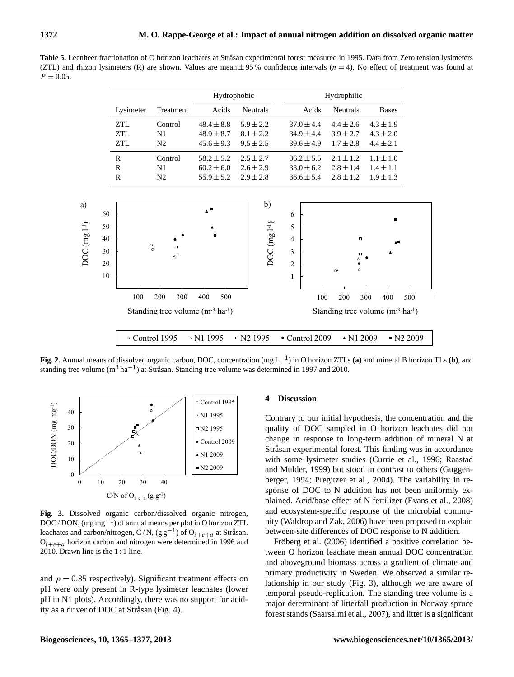Table 5. Leenheer fractionation of O horizon leachates at Stråsan experimental forest measured in 1995. Data from Zero tension lysimeters (ZTL) and rhizon lysimeters (R) are shown. Values are mean  $\pm$  95% confidence intervals ( $n = 4$ ). No effect of treatment was found at  $P = 0.05$ .

|                                    | Hydrophobic    |                                                                        | Hydrophilic                        |                                  |                                                                                                  |
|------------------------------------|----------------|------------------------------------------------------------------------|------------------------------------|----------------------------------|--------------------------------------------------------------------------------------------------|
| Lysimeter<br>Treatment             | Acids          | <b>Neutrals</b>                                                        | Acids                              | <b>Neutrals</b>                  | <b>Bases</b>                                                                                     |
| Control                            | $48.4 \pm 8.8$ | $5.9 \pm 2.2$                                                          | $37.0 \pm 4.4$                     | $4.4 \pm 2.6$                    | $4.3 \pm 1.9$                                                                                    |
| N1                                 | $48.9 \pm 8.7$ | $8.1 \pm 2.2$                                                          | $34.9 \pm 4.4$                     | $3.9 \pm 2.7$                    | $4.3 \pm 2.0$                                                                                    |
| N <sub>2</sub>                     | $45.6 \pm 9.3$ | $9.5 \pm 2.5$                                                          | $39.6 \pm 4.9$                     | $1.7 \pm 2.8$                    | $4.4 \pm 2.1$                                                                                    |
| Control                            | $58.2 \pm 5.2$ | $2.5 \pm 2.7$                                                          | $36.2 \pm 5.5$                     | $2.1 \pm 1.2$                    | $1.1 \pm 1.0$                                                                                    |
| N <sub>1</sub>                     | $60.2 \pm 6.0$ | $2.6 \pm 2.9$                                                          | $33.0 \pm 6.2$                     | $2.8 \pm 1.4$                    | $1.4 \pm 1.1$                                                                                    |
| N <sub>2</sub>                     | $55.9 \pm 5.2$ | $2.9 \pm 2.8$                                                          | $36.6 \pm 5.4$                     | $2.8 \pm 1.2$                    | $1.9 \pm 1.3$                                                                                    |
| $^{\circ}_{\circ}$<br>$\Box$<br>⊿□ |                | $DOC$ (mg $1-1$ )                                                      | 5<br>4<br>3<br>$\overline{c}$<br>1 | $\Box$<br>о<br>Δ<br>Δ<br>$\circ$ | ΔE                                                                                               |
| 100<br>300<br>200                  | 400<br>500     |                                                                        | 100                                | 200                              | 300<br>400<br>500                                                                                |
|                                    |                |                                                                        |                                    |                                  |                                                                                                  |
|                                    | ° Control 1995 | Standing tree volume $(m^{-3} \text{ ha}^{-1})$<br>$\triangle$ N1 1995 | $\text{N2}$ 1995                   |                                  | Standing tree volume $(m^{-3} \text{ ha}^{-1})$<br>$\bullet$ Control 2009<br>$\triangle$ N1 2009 |

**Fig. 2.** Annual means of dissolved organic carbon, DOC, concentration (mg L−<sup>1</sup> ) in O horizon ZTLs **(a)** and mineral B horizon TLs **(b)**, and standing tree volume (m<sup>3</sup> ha<sup>-1</sup>) at Stråsan. Standing tree volume was determined in 1997 and 2010.



**Fig. 3.** Dissolved organic carbon/dissolved organic nitrogen, DOC / DON, (mg mg<sup>-1</sup>) of annual means per plot in O horizon ZTL leachates and carbon/nitrogen, C/N, (g g<sup>-1</sup>) of O<sub>i+e+a</sub> at Stråsan.  $O_{i+e+a}$  horizon carbon and nitrogen were determined in 1996 and 2010. Drawn line is the 1 : 1 line.

and  $p = 0.35$  respectively). Significant treatment effects on pH were only present in R-type lysimeter leachates (lower pH in N1 plots). Accordingly, there was no support for acidity as a driver of DOC at Stråsan (Fig. 4).

#### **4 Discussion**

Contrary to our initial hypothesis, the concentration and the quality of DOC sampled in O horizon leachates did not change in response to long-term addition of mineral N at Stråsan experimental forest. This finding was in accordance with some lysimeter studies (Currie et al., 1996; Raastad and Mulder, 1999) but stood in contrast to others (Guggenberger, 1994; Pregitzer et al., 2004). The variability in response of DOC to N addition has not been uniformly explained. Acid/base effect of N fertilizer (Evans et al., 2008) and ecosystem-specific response of the microbial community (Waldrop and Zak, 2006) have been proposed to explain between-site differences of DOC response to N addition.

Fröberg et al. (2006) identified a positive correlation between O horizon leachate mean annual DOC concentration and aboveground biomass across a gradient of climate and primary productivity in Sweden. We observed a similar relationship in our study (Fig. 3), although we are aware of temporal pseudo-replication. The standing tree volume is a major determinant of litterfall production in Norway spruce forest stands (Saarsalmi et al., 2007), and litter is a significant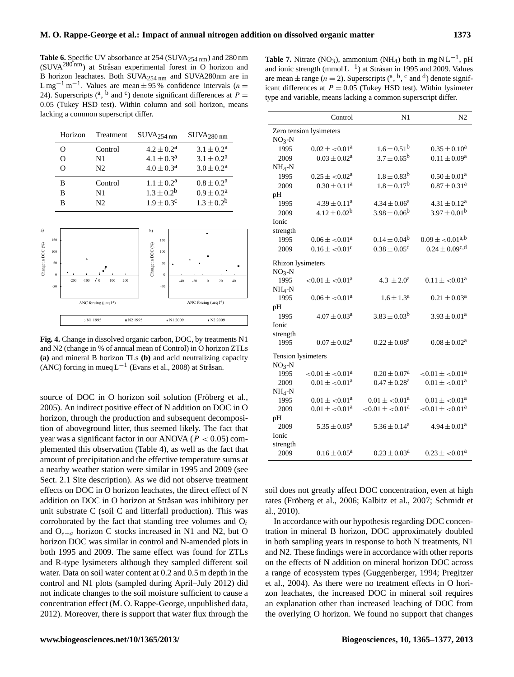Table 6. Specific UV absorbance at 254 (SUVA<sub>254 nm</sub>) and 280 nm  $(SUVA<sup>280 nm</sup>)$  at Stråsan experimental forest in O horizon and B horizon leachates. Both SUVA254 nm and SUVA280nm are in L mg<sup>-1</sup> m<sup>-1</sup>. Values are mean  $\pm$  95% confidence intervals (*n* = 24). Superscripts (<sup>a</sup>, <sup>b</sup> and <sup>c</sup>) denote significant differences at *P* = 0.05 (Tukey HSD test). Within column and soil horizon, means lacking a common superscript differ.

| Horizon  | Treatment      | $\text{SUVA}_{254 \text{ nm}}$ | $\rm SUVA_{280\,nm}$  |
|----------|----------------|--------------------------------|-----------------------|
| $\Omega$ | Control        | $4.2 \pm 0.2^{\rm a}$          | $3.1 \pm 0.2^a$       |
| Ω        | N <sub>1</sub> | $4.1 \pm 0.3^{\rm a}$          | $3.1 \pm 0.2^{\rm a}$ |
|          | N2             | $4.0 \pm 0.3^{\rm a}$          | $3.0 \pm 0.2^a$       |
| в        | Control        | $1.1 \pm 0.2^{\rm a}$          | $0.8 \pm 0.2^{\rm a}$ |
| в        | N <sub>1</sub> | $1.3 \pm 0.2^b$                | $0.9 \pm 0.2^a$       |
| R        | N2             | $1.9 \pm 0.3^c$                | $1.3 \pm 0.2^b$       |



**Fig. 4.** Change in dissolved organic carbon, DOC, by treatments N1 and N2 (change in % of annual mean of Control) in O horizon ZTLs **(a)** and mineral B horizon TLs **(b)** and acid neutralizing capacity (ANC) forcing in mueq  $L^{-1}$  (Evans et al., 2008) at Stråsan.

source of DOC in O horizon soil solution (Fröberg et al., 2005). An indirect positive effect of N addition on DOC in O horizon, through the production and subsequent decomposition of aboveground litter, thus seemed likely. The fact that year was a significant factor in our ANOVA ( $P < 0.05$ ) complemented this observation (Table 4), as well as the fact that amount of precipitation and the effective temperature sums at a nearby weather station were similar in 1995 and 2009 (see Sect. 2.1 Site description). As we did not observe treatment effects on DOC in O horizon leachates, the direct effect of N addition on DOC in O horizon at Stråsan was inhibitory per unit substrate C (soil C and litterfall production). This was corroborated by the fact that standing tree volumes and  $O_i$ and  $O_{e+a}$  horizon C stocks increased in N1 and N2, but O horizon DOC was similar in control and N-amended plots in both 1995 and 2009. The same effect was found for ZTLs and R-type lysimeters although they sampled different soil water. Data on soil water content at 0.2 and 0.5 m depth in the control and N1 plots (sampled during April–July 2012) did not indicate changes to the soil moisture sufficient to cause a concentration effect (M. O. Rappe-George, unpublished data, 2012). Moreover, there is support that water flux through the

|                          | Control                    | N1                           | N <sub>2</sub>               |  |  |  |  |
|--------------------------|----------------------------|------------------------------|------------------------------|--|--|--|--|
| Zero tension lysimeters  |                            |                              |                              |  |  |  |  |
| $NO3-N$                  |                            |                              |                              |  |  |  |  |
| 1995                     | $0.02 \pm 0.01^a$          | $1.6 \pm 0.51^{\rm b}$       | $0.35 \pm 0.10^a$            |  |  |  |  |
| 2009                     | $0.03 \pm 0.02^a$          | $3.7 \pm 0.65^{\rm b}$       | $0.11 \pm 0.09^a$            |  |  |  |  |
| $NH_4-N$                 |                            |                              |                              |  |  |  |  |
| 1995                     | $0.25 \pm 0.02^a$          | $1.8 \pm 0.83^b$             | $0.50 \pm 0.01^a$            |  |  |  |  |
| 2009                     | $0.30 \pm 0.11^a$          | $1.8 \pm 0.17^{\rm b}$       | $0.87 \pm 0.31^{\circ}$      |  |  |  |  |
| pH                       |                            |                              |                              |  |  |  |  |
| 1995                     | $4.39 \pm 0.11^a$          | $4.34 \pm 0.06^a$            | $4.31 \pm 0.12^a$            |  |  |  |  |
| 2009                     | $4.12 \pm 0.02^b$          | $3.98 \pm 0.06^b$            | $3.97 \pm 0.01^{\rm b}$      |  |  |  |  |
| <b>Ionic</b>             |                            |                              |                              |  |  |  |  |
| strength                 |                            |                              |                              |  |  |  |  |
| 1995                     | $0.06 \pm 0.01^a$          | $0.14 \pm 0.04^b$            | $0.09 \pm 0.01^{a,b}$        |  |  |  |  |
| 2009                     | $0.16 \pm 0.01^c$          | $0.38 \pm 0.05$ <sup>d</sup> | $0.24 \pm 0.09^{\text{c,d}}$ |  |  |  |  |
| <b>Rhizon</b> lysimeters |                            |                              |                              |  |  |  |  |
| $NO3-N$                  |                            |                              |                              |  |  |  |  |
| 1995                     | $< 0.01 \pm 0.01^a$        | $4.3 \pm 2.0^{\circ}$        | $0.11 \pm 0.01^a$            |  |  |  |  |
| $NH4-N$                  |                            |                              |                              |  |  |  |  |
| 1995                     | $0.06 \pm 0.01^a$          | $1.6 \pm 1.3^{\rm a}$        | $0.21 \pm 0.03^a$            |  |  |  |  |
| pH                       |                            |                              |                              |  |  |  |  |
| 1995                     | $4.07 \pm 0.03^{\text{a}}$ | $3.83 \pm 0.03^b$            | $3.93 \pm 0.01^a$            |  |  |  |  |
| Ionic                    |                            |                              |                              |  |  |  |  |
| strength                 |                            |                              |                              |  |  |  |  |
| 1995                     | $0.07 \pm 0.02^a$          | $0.22 \pm 0.08^a$            | $0.08 \pm 0.02^a$            |  |  |  |  |
| Tension lysimeters       |                            |                              |                              |  |  |  |  |
| $NO3-N$                  |                            |                              |                              |  |  |  |  |
| 1995                     | $< 0.01 \pm 0.01^a$        | $0.20 \pm 0.07^a$            | $< 0.01 \pm 0.01^a$          |  |  |  |  |
| 2009                     | $0.01 \pm 0.01^a$          | $0.47 \pm 0.28$ <sup>a</sup> | $0.01 \pm 0.01^a$            |  |  |  |  |
| $NH4-N$                  |                            |                              |                              |  |  |  |  |
| 1995                     | $0.01 \pm 0.01^a$          | $0.01 \pm 0.01^a$            | $0.01 \pm 0.01^a$            |  |  |  |  |
| 2009                     | $0.01 \pm 0.01^a$          | $< 0.01 \pm 0.01^a$          | $< 0.01 \pm 0.01^a$          |  |  |  |  |
| pH                       |                            |                              |                              |  |  |  |  |
| 2009                     | $5.35 \pm 0.05^{\rm a}$    | $5.36 \pm 0.14^a$            | $4.94 \pm 0.01^a$            |  |  |  |  |
| Ionic                    |                            |                              |                              |  |  |  |  |
| strength                 |                            |                              |                              |  |  |  |  |
| 2009                     | $0.16 \pm 0.05^a$          | $0.23 \pm 0.03^a$            | $0.23 \pm 0.01^a$            |  |  |  |  |

soil does not greatly affect DOC concentration, even at high rates (Fröberg et al., 2006; Kalbitz et al., 2007; Schmidt et al., 2010).

In accordance with our hypothesis regarding DOC concentration in mineral B horizon, DOC approximately doubled in both sampling years in response to both N treatments, N1 and N2. These findings were in accordance with other reports on the effects of N addition on mineral horizon DOC across a range of ecosystem types (Guggenberger, 1994; Pregitzer et al., 2004). As there were no treatment effects in O horizon leachates, the increased DOC in mineral soil requires an explanation other than increased leaching of DOC from the overlying O horizon. We found no support that changes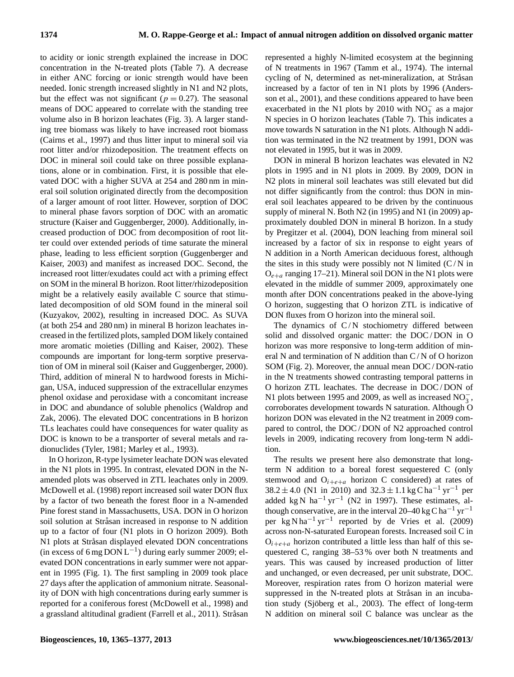to acidity or ionic strength explained the increase in DOC concentration in the N-treated plots (Table 7). A decrease in either ANC forcing or ionic strength would have been needed. Ionic strength increased slightly in N1 and N2 plots, but the effect was not significant ( $p = 0.27$ ). The seasonal means of DOC appeared to correlate with the standing tree volume also in B horizon leachates (Fig. 3). A larger standing tree biomass was likely to have increased root biomass (Cairns et al., 1997) and thus litter input to mineral soil via root litter and/or rhizodeposition. The treatment effects on DOC in mineral soil could take on three possible explanations, alone or in combination. First, it is possible that elevated DOC with a higher SUVA at 254 and 280 nm in mineral soil solution originated directly from the decomposition of a larger amount of root litter. However, sorption of DOC to mineral phase favors sorption of DOC with an aromatic structure (Kaiser and Guggenberger, 2000). Additionally, increased production of DOC from decomposition of root litter could over extended periods of time saturate the mineral phase, leading to less efficient sorption (Guggenberger and Kaiser, 2003) and manifest as increased DOC. Second, the increased root litter/exudates could act with a priming effect on SOM in the mineral B horizon. Root litter/rhizodeposition might be a relatively easily available C source that stimulated decomposition of old SOM found in the mineral soil (Kuzyakov, 2002), resulting in increased DOC. As SUVA (at both 254 and 280 nm) in mineral B horizon leachates increased in the fertilized plots, sampled DOM likely contained more aromatic moieties (Dilling and Kaiser, 2002). These compounds are important for long-term sorptive preservation of OM in mineral soil (Kaiser and Guggenberger, 2000). Third, addition of mineral N to hardwood forests in Michigan, USA, induced suppression of the extracellular enzymes phenol oxidase and peroxidase with a concomitant increase in DOC and abundance of soluble phenolics (Waldrop and Zak, 2006). The elevated DOC concentrations in B horizon TLs leachates could have consequences for water quality as DOC is known to be a transporter of several metals and radionuclides (Tyler, 1981; Marley et al., 1993).

In O horizon, R-type lysimeter leachate DON was elevated in the N1 plots in 1995. In contrast, elevated DON in the Namended plots was observed in ZTL leachates only in 2009. McDowell et al. (1998) report increased soil water DON flux by a factor of two beneath the forest floor in a N-amended Pine forest stand in Massachusetts, USA. DON in O horizon soil solution at Stråsan increased in response to N addition up to a factor of four (N1 plots in O horizon 2009). Both N1 plots at Stråsan displayed elevated DON concentrations (in excess of 6 mg  $\text{DOM L}^{-1}$ ) during early summer 2009; elevated DON concentrations in early summer were not apparent in 1995 (Fig. 1). The first sampling in 2009 took place 27 days after the application of ammonium nitrate. Seasonality of DON with high concentrations during early summer is reported for a coniferous forest (McDowell et al., 1998) and a grassland altitudinal gradient (Farrell et al., 2011). Stråsan represented a highly N-limited ecosystem at the beginning of N treatments in 1967 (Tamm et al., 1974). The internal cycling of N, determined as net-mineralization, at Stråsan increased by a factor of ten in N1 plots by 1996 (Andersson et al., 2001), and these conditions appeared to have been exacerbated in the N1 plots by 2010 with  $NO_3^-$  as a major N species in O horizon leachates (Table 7). This indicates a move towards N saturation in the N1 plots. Although N addition was terminated in the N2 treatment by 1991, DON was not elevated in 1995, but it was in 2009.

DON in mineral B horizon leachates was elevated in N2 plots in 1995 and in N1 plots in 2009. By 2009, DON in N2 plots in mineral soil leachates was still elevated but did not differ significantly from the control: thus DON in mineral soil leachates appeared to be driven by the continuous supply of mineral N. Both N2 (in 1995) and N1 (in 2009) approximately doubled DON in mineral B horizon. In a study by Pregitzer et al. (2004), DON leaching from mineral soil increased by a factor of six in response to eight years of N addition in a North American deciduous forest, although the sites in this study were possibly not N limited  $(C/N)$  in  $O_{e+a}$  ranging 17–21). Mineral soil DON in the N1 plots were elevated in the middle of summer 2009, approximately one month after DON concentrations peaked in the above-lying O horizon, suggesting that O horizon ZTL is indicative of DON fluxes from O horizon into the mineral soil.

The dynamics of  $C/N$  stochiometry differed between solid and dissolved organic matter: the DOC/DON in O horizon was more responsive to long-term addition of mineral N and termination of N addition than C / N of O horizon SOM (Fig. 2). Moreover, the annual mean DOC / DON-ratio in the N treatments showed contrasting temporal patterns in O horizon ZTL leachates. The decrease in DOC / DON of N1 plots between 1995 and 2009, as well as increased  $NO_3^-$ , corroborates development towards N saturation. Although O horizon DON was elevated in the N2 treatment in 2009 compared to control, the DOC / DON of N2 approached control levels in 2009, indicating recovery from long-term N addition.

The results we present here also demonstrate that longterm N addition to a boreal forest sequestered C (only stemwood and  $O_{i+e+a}$  horizon C considered) at rates of  $38.2 \pm 4.0$  (N1 in 2010) and  $32.3 \pm 1.1$  kg C ha<sup>-1</sup> yr<sup>-1</sup> per added kg N ha<sup>-1</sup> yr<sup>-1</sup> (N2 in 1997). These estimates, although conservative, are in the interval 20–40 kg C ha<sup>-1</sup> yr<sup>-1</sup> per kg N ha<sup>-1</sup> yr<sup>-1</sup> reported by de Vries et al. (2009) across non-N-saturated European forests. Increased soil C in  $O_{i+e+a}$  horizon contributed a little less than half of this sequestered C, ranging 38–53 % over both N treatments and years. This was caused by increased production of litter and unchanged, or even decreased, per unit substrate, DOC. Moreover, respiration rates from O horizon material were suppressed in the N-treated plots at Stråsan in an incubation study (Sjöberg et al., 2003). The effect of long-term N addition on mineral soil C balance was unclear as the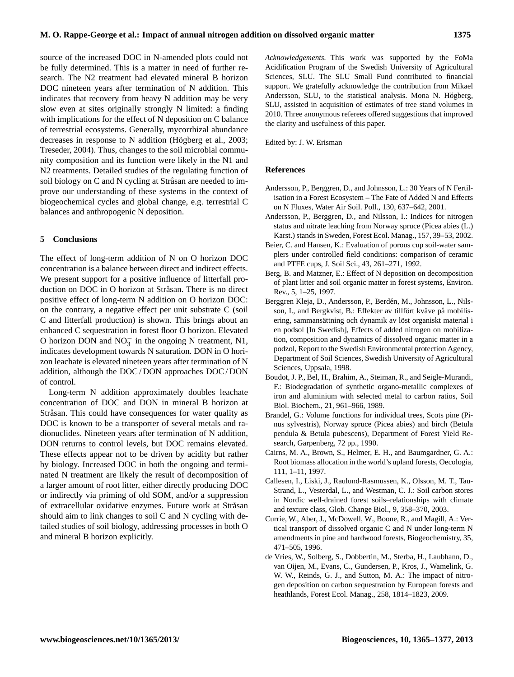source of the increased DOC in N-amended plots could not be fully determined. This is a matter in need of further research. The N2 treatment had elevated mineral B horizon DOC nineteen years after termination of N addition. This indicates that recovery from heavy N addition may be very slow even at sites originally strongly N limited: a finding with implications for the effect of N deposition on C balance of terrestrial ecosystems. Generally, mycorrhizal abundance decreases in response to  $N$  addition (Högberg et al., 2003; Treseder, 2004). Thus, changes to the soil microbial community composition and its function were likely in the N1 and N2 treatments. Detailed studies of the regulating function of soil biology on C and N cycling at Stråsan are needed to improve our understanding of these systems in the context of biogeochemical cycles and global change, e.g. terrestrial C balances and anthropogenic N deposition.

# **5 Conclusions**

The effect of long-term addition of N on O horizon DOC concentration is a balance between direct and indirect effects. We present support for a positive influence of litterfall production on DOC in O horizon at Stråsan. There is no direct positive effect of long-term N addition on O horizon DOC: on the contrary, a negative effect per unit substrate C (soil C and litterfall production) is shown. This brings about an enhanced C sequestration in forest floor O horizon. Elevated O horizon DON and  $NO_3^-$  in the ongoing N treatment, N1, indicates development towards N saturation. DON in O horizon leachate is elevated nineteen years after termination of N addition, although the DOC / DON approaches DOC / DON of control.

Long-term N addition approximately doubles leachate concentration of DOC and DON in mineral B horizon at Stråsan. This could have consequences for water quality as DOC is known to be a transporter of several metals and radionuclides. Nineteen years after termination of N addition, DON returns to control levels, but DOC remains elevated. These effects appear not to be driven by acidity but rather by biology. Increased DOC in both the ongoing and terminated N treatment are likely the result of decomposition of a larger amount of root litter, either directly producing DOC or indirectly via priming of old SOM, and/or a suppression of extracellular oxidative enzymes. Future work at Stråsan should aim to link changes to soil C and N cycling with detailed studies of soil biology, addressing processes in both O and mineral B horizon explicitly.

*Acknowledgements.* This work was supported by the FoMa Acidification Program of the Swedish University of Agricultural Sciences, SLU. The SLU Small Fund contributed to financial support. We gratefully acknowledge the contribution from Mikael Andersson, SLU, to the statistical analysis. Mona N. Högberg, SLU, assisted in acquisition of estimates of tree stand volumes in 2010. Three anonymous referees offered suggestions that improved the clarity and usefulness of this paper.

Edited by: J. W. Erisman

# **References**

- Andersson, P., Berggren, D., and Johnsson, L.: 30 Years of N Fertilisation in a Forest Ecosystem – The Fate of Added N and Effects on N Fluxes, Water Air Soil. Poll., 130, 637–642, 2001.
- Andersson, P., Berggren, D., and Nilsson, I.: Indices for nitrogen status and nitrate leaching from Norway spruce (Picea abies (L.) Karst.) stands in Sweden, Forest Ecol. Manag., 157, 39–53, 2002.
- Beier, C. and Hansen, K.: Evaluation of porous cup soil-water samplers under controlled field conditions: comparison of ceramic and PTFE cups, J. Soil Sci., 43, 261–271, 1992.
- Berg, B. and Matzner, E.: Effect of N deposition on decomposition of plant litter and soil organic matter in forest systems, Environ. Rev., 5, 1–25, 1997.
- Berggren Kleja, D., Andersson, P., Berden, M., Johnsson, L., Nils- ´ son, I., and Bergkvist, B.: Effekter av tillfört kväve på mobilisering, sammansättning och dynamik av löst organiskt material i en podsol [In Swedish], Effects of added nitrogen on mobilization, composition and dynamics of dissolved organic matter in a podzol, Report to the Swedish Environmental protection Agency, Department of Soil Sciences, Swedish University of Agricultural Sciences, Uppsala, 1998.
- Boudot, J. P., Bel, H., Brahim, A., Steiman, R., and Seigle-Murandi, F.: Biodegradation of synthetic organo-metallic complexes of iron and aluminium with selected metal to carbon ratios, Soil Biol. Biochem., 21, 961–966, 1989.
- Brandel, G.: Volume functions for individual trees, Scots pine (Pinus sylvestris), Norway spruce (Picea abies) and birch (Betula pendula & Betula pubescens), Department of Forest Yield Research, Garpenberg, 72 pp., 1990.
- Cairns, M. A., Brown, S., Helmer, E. H., and Baumgardner, G. A.: Root biomass allocation in the world's upland forests, Oecologia, 111, 1–11, 1997.
- Callesen, I., Liski, J., Raulund-Rasmussen, K., Olsson, M. T., Tau-Strand, L., Vesterdal, L., and Westman, C. J.: Soil carbon stores in Nordic well-drained forest soils–relationships with climate and texture class, Glob. Change Biol., 9, 358–370, 2003.
- Currie, W., Aber, J., McDowell, W., Boone, R., and Magill, A.: Vertical transport of dissolved organic C and N under long-term N amendments in pine and hardwood forests, Biogeochemistry, 35, 471–505, 1996.
- de Vries, W., Solberg, S., Dobbertin, M., Sterba, H., Laubhann, D., van Oijen, M., Evans, C., Gundersen, P., Kros, J., Wamelink, G. W. W., Reinds, G. J., and Sutton, M. A.: The impact of nitrogen deposition on carbon sequestration by European forests and heathlands, Forest Ecol. Manag., 258, 1814–1823, 2009.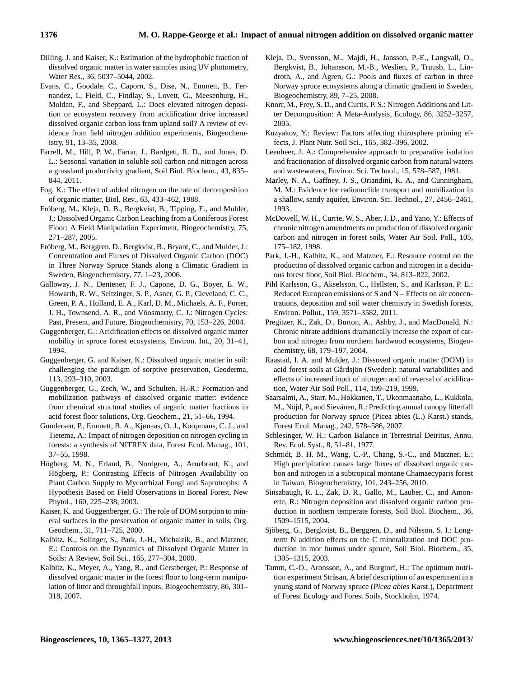- Dilling, J. and Kaiser, K.: Estimation of the hydrophobic fraction of dissolved organic matter in water samples using UV photometry, Water Res., 36, 5037–5044, 2002.
- Evans, C., Goodale, C., Caporn, S., Dise, N., Emmett, B., Fernandez, I., Field, C., Findlay, S., Lovett, G., Meesenburg, H., Moldan, F., and Sheppard, L.: Does elevated nitrogen deposition or ecosystem recovery from acidification drive increased dissolved organic carbon loss from upland soil? A review of evidence from field nitrogen addition experiments, Biogeochemistry, 91, 13–35, 2008.
- Farrell, M., Hill, P. W., Farrar, J., Bardgett, R. D., and Jones, D. L.: Seasonal variation in soluble soil carbon and nitrogen across a grassland productivity gradient, Soil Biol. Biochem., 43, 835– 844, 2011.
- Fog, K.: The effect of added nitrogen on the rate of decomposition of organic matter, Biol. Rev., 63, 433–462, 1988.
- Fröberg, M., Kleja, D. B., Bergkvist, B., Tipping, E., and Mulder, J.: Dissolved Organic Carbon Leaching from a Coniferous Forest Floor: A Field Manipulation Experiment, Biogeochemistry, 75, 271–287, 2005.
- Fröberg, M., Berggren, D., Bergkvist, B., Bryant, C., and Mulder, J.: Concentration and Fluxes of Dissolved Organic Carbon (DOC) in Three Norway Spruce Stands along a Climatic Gradient in Sweden, Biogeochemistry, 77, 1–23, 2006.
- Galloway, J. N., Dentener, F. J., Capone, D. G., Boyer, E. W., Howarth, R. W., Seitzinger, S. P., Asner, G. P., Cleveland, C. C., Green, P. A., Holland, E. A., Karl, D. M., Michaels, A. F., Porter, J. H., Townsend, A. R., and Vöosmarty, C. J.: Nitrogen Cycles: Past, Present, and Future, Biogeochemistry, 70, 153–226, 2004.
- Guggenberger, G.: Acidification effects on dissolved organic matter mobility in spruce forest ecosystems, Environ. Int., 20, 31–41, 1994.
- Guggenberger, G. and Kaiser, K.: Dissolved organic matter in soil: challenging the paradigm of sorptive preservation, Geoderma, 113, 293–310, 2003.
- Guggenberger, G., Zech, W., and Schulten, H.-R.: Formation and mobilization pathways of dissolved organic matter: evidence from chemical structural studies of organic matter fractions in acid forest floor solutions, Org. Geochem., 21, 51–66, 1994.
- Gundersen, P., Emmett, B. A., Kjønaas, O. J., Koopmans, C. J., and Tietema, A.: Impact of nitrogen deposition on nitrogen cycling in forests: a synthesis of NITREX data, Forest Ecol. Manag., 101, 37–55, 1998.
- Högberg, M. N., Erland, B., Nordgren, A., Arnebrant, K., and Högberg, P.: Contrasting Effects of Nitrogen Availability on Plant Carbon Supply to Mycorrhizal Fungi and Saprotrophs: A Hypothesis Based on Field Observations in Boreal Forest, New Phytol., 160, 225–238, 2003.
- Kaiser, K. and Guggenberger, G.: The role of DOM sorption to mineral surfaces in the preservation of organic matter in soils, Org. Geochem., 31, 711–725, 2000.
- Kalbitz, K., Solinger, S., Park, J.-H., Michalzik, B., and Matzner, E.: Controls on the Dynamics of Dissolved Organic Matter in Soils: A Review, Soil Sci., 165, 277–304, 2000.
- Kalbitz, K., Meyer, A., Yang, R., and Gerstberger, P.: Response of dissolved organic matter in the forest floor to long-term manipulation of litter and throughfall inputs, Biogeochemistry, 86, 301– 318, 2007.
- Kleja, D., Svensson, M., Majdi, H., Jansson, P.-E., Langvall, O., Bergkvist, B., Johansson, M.-B., Weslien, P., Truusb, L., Lindroth, A., and  $\AA$ gren, G.: Pools and fluxes of carbon in three Norway spruce ecosystems along a climatic gradient in Sweden, Biogeochemistry, 89, 7–25, 2008.
- Knorr, M., Frey, S. D., and Curtis, P. S.: Nitrogen Additions and Litter Decomposition: A Meta-Analysis, Ecology, 86, 3252–3257, 2005.
- Kuzyakov, Y.: Review: Factors affecting rhizosphere priming effects, J. Plant Nutr. Soil Sci., 165, 382–396, 2002.
- Leenheer, J. A.: Comprehensive approach to preparative isolation and fractionation of dissolved organic carbon from natural waters and wastewaters, Environ. Sci. Technol., 15, 578–587, 1981.
- Marley, N. A., Gaffney, J. S., Oriandini, K. A., and Cunningham, M. M.: Evidence for radionuclide transport and mobilization in a shallow, sandy aquifer, Environ. Sci. Technol., 27, 2456–2461, 1993.
- McDowell, W. H., Currie, W. S., Aber, J. D., and Yano, Y.: Effects of chronic nitrogen amendments on production of dissolved organic carbon and nitrogen in forest soils, Water Air Soil. Poll., 105, 175–182, 1998.
- Park, J.-H., Kalbitz, K., and Matzner, E.: Resource control on the production of dissolved organic carbon and nitrogen in a deciduous forest floor, Soil Biol. Biochem., 34, 813–822, 2002.
- Pihl Karlsson, G., Akselsson, C., Hellsten, S., and Karlsson, P. E.: Reduced European emissions of S and N – Effects on air concentrations, deposition and soil water chemistry in Swedish forests, Environ. Pollut., 159, 3571–3582, 2011.
- Pregitzer, K., Zak, D., Burton, A., Ashby, J., and MacDonald, N.: Chronic nitrate additions dramatically increase the export of carbon and nitrogen from northern hardwood ecosystems, Biogeochemistry, 68, 179–197, 2004.
- Raastad, I. A. and Mulder, J.: Dissoved organic matter (DOM) in acid forest soils at Gårdsjön (Sweden): natural variabilities and effects of increased input of nitrogen and of reversal of acidification, Water Air Soil Poll., 114, 199–219, 1999.
- Saarsalmi, A., Starr, M., Hokkanen, T., Ukonmaanaho, L., Kukkola, M., Nöjd, P., and Sievänen, R.: Predicting annual canopy litterfall production for Norway spruce (Picea abies (L.) Karst.) stands, Forest Ecol. Manag., 242, 578–586, 2007.
- Schlesinger, W. H.: Carbon Balance in Terrestrial Detritus, Annu. Rev. Ecol. Syst., 8, 51–81, 1977.
- Schmidt, B. H. M., Wang, C.-P., Chang, S.-C., and Matzner, E.: High precipitation causes large fluxes of dissolved organic carbon and nitrogen in a subtropical montane Chamaecyparis forest in Taiwan, Biogeochemistry, 101, 243–256, 2010.
- Sinsabaugh, R. L., Zak, D. R., Gallo, M., Lauber, C., and Amonette, R.: Nitrogen deposition and dissolved organic carbon production in northern temperate forests, Soil Biol. Biochem., 36, 1509–1515, 2004.
- Sjöberg, G., Bergkvist, B., Berggren, D., and Nilsson, S. I.: Longterm N addition effects on the C mineralization and DOC production in mor humus under spruce, Soil Biol. Biochem., 35, 1305–1315, 2003.
- Tamm, C.-O., Aronsson, A., and Burgtorf, H.: The optimum nutrition experiment Stråsan, A brief description of an experiment in a young stand of Norway spruce (*Picea abies* Karst.), Department of Forest Ecology and Forest Soils, Stockholm, 1974.